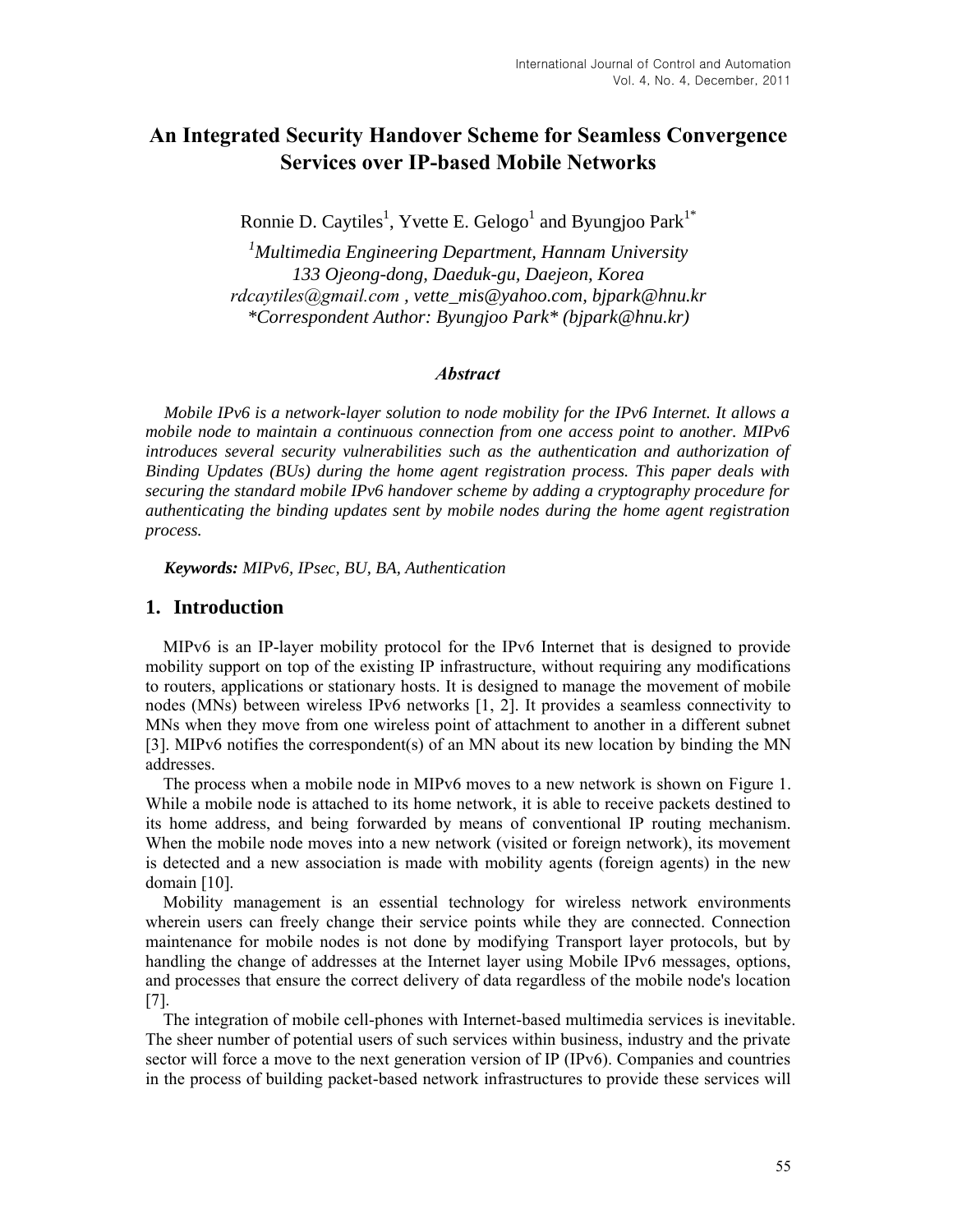# **An Integrated Security Handover Scheme for Seamless Convergence Services over IP-based Mobile Networks**

Ronnie D. Caytiles<sup>1</sup>, Yvette E. Gelogo<sup>1</sup> and Byungjoo Park<sup>1\*</sup>

*<sup>1</sup>Multimedia Engineering Department, Hannam University 133 Ojeong-dong, Daeduk-gu, Daejeon, Korea rdcaytiles@gmail.com , vette\_mis@yahoo.com, bjpark@hnu.kr \*Correspondent Author: Byungjoo Park\* (bjpark@hnu.kr)*

#### *Abstract*

*Mobile IPv6 is a network-layer solution to node mobility for the IPv6 Internet. It allows a mobile node to maintain a continuous connection from one access point to another. MIPv6 introduces several security vulnerabilities such as the authentication and authorization of Binding Updates (BUs) during the home agent registration process. This paper deals with securing the standard mobile IPv6 handover scheme by adding a cryptography procedure for authenticating the binding updates sent by mobile nodes during the home agent registration process.*

*Keywords: MIPv6, IPsec, BU, BA, Authentication* 

### **1. Introduction**

MIPv6 is an IP-layer mobility protocol for the IPv6 Internet that is designed to provide mobility support on top of the existing IP infrastructure, without requiring any modifications to routers, applications or stationary hosts. It is designed to manage the movement of mobile nodes (MNs) between wireless IPv6 networks [1, 2]. It provides a seamless connectivity to MNs when they move from one wireless point of attachment to another in a different subnet [3]. MIPv6 notifies the correspondent(s) of an MN about its new location by binding the MN addresses.

The process when a mobile node in MIPv6 moves to a new network is shown on Figure 1. While a mobile node is attached to its home network, it is able to receive packets destined to its home address, and being forwarded by means of conventional IP routing mechanism. When the mobile node moves into a new network (visited or foreign network), its movement is detected and a new association is made with mobility agents (foreign agents) in the new domain [10].

Mobility management is an essential technology for wireless network environments wherein users can freely change their service points while they are connected. Connection maintenance for mobile nodes is not done by modifying Transport layer protocols, but by handling the change of addresses at the Internet layer using Mobile IPv6 messages, options, and processes that ensure the correct delivery of data regardless of the mobile node's location [7].

The integration of mobile cell-phones with Internet-based multimedia services is inevitable. The sheer number of potential users of such services within business, industry and the private sector will force a move to the next generation version of IP (IPv6). Companies and countries in the process of building packet-based network infrastructures to provide these services will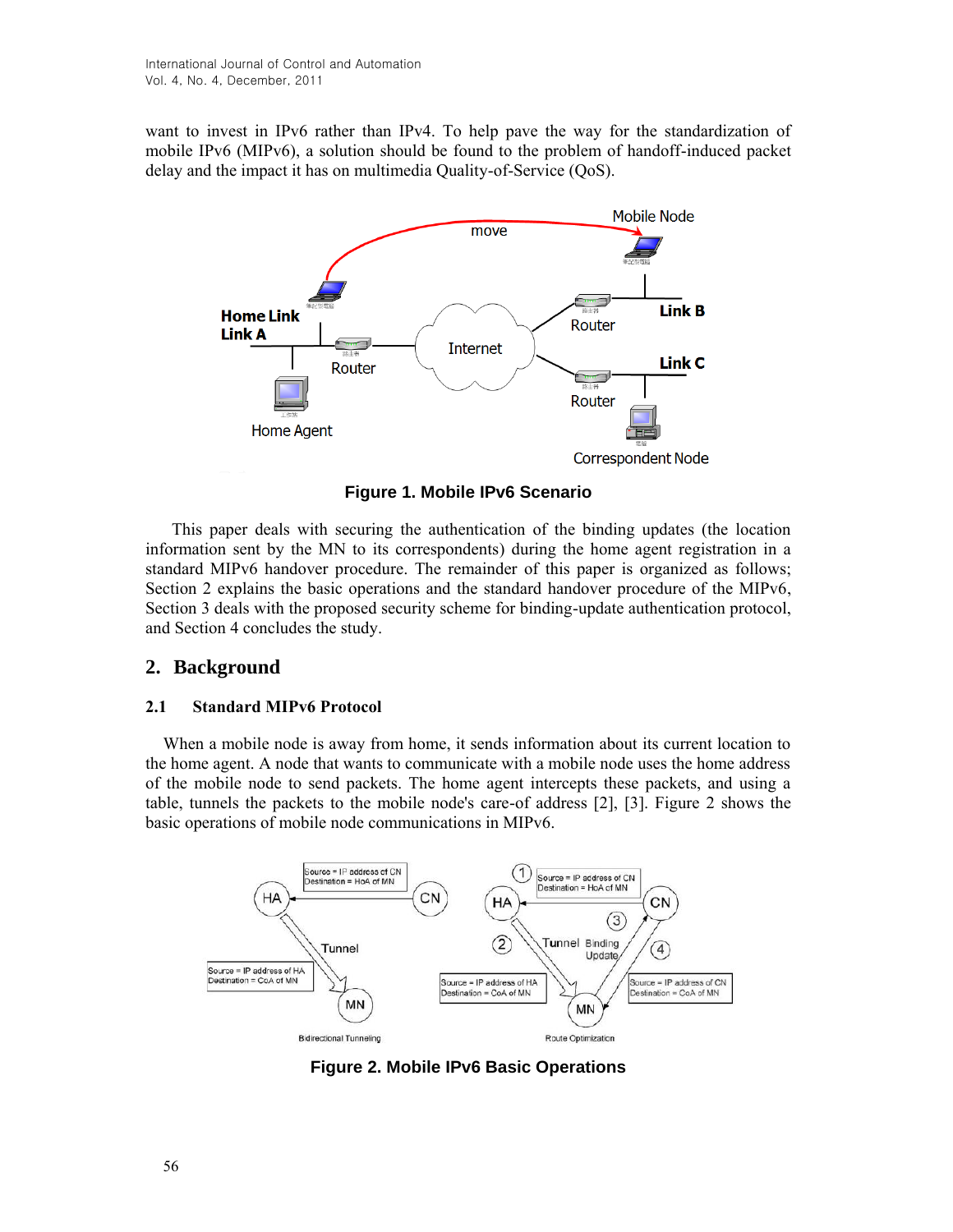want to invest in IPv6 rather than IPv4. To help pave the way for the standardization of mobile IPv6 (MIPv6), a solution should be found to the problem of handoff-induced packet delay and the impact it has on multimedia Quality-of-Service (QoS).



**Figure 1. Mobile IPv6 Scenario**

This paper deals with securing the authentication of the binding updates (the location information sent by the MN to its correspondents) during the home agent registration in a standard MIPv6 handover procedure. The remainder of this paper is organized as follows; Section 2 explains the basic operations and the standard handover procedure of the MIPv6, Section 3 deals with the proposed security scheme for binding-update authentication protocol, and Section 4 concludes the study.

# **2. Background**

### **2.1 Standard MIPv6 Protocol**

When a mobile node is away from home, it sends information about its current location to the home agent. A node that wants to communicate with a mobile node uses the home address of the mobile node to send packets. The home agent intercepts these packets, and using a table, tunnels the packets to the mobile node's care-of address [2], [3]. Figure 2 shows the basic operations of mobile node communications in MIPv6.



**Figure 2. Mobile IPv6 Basic Operations**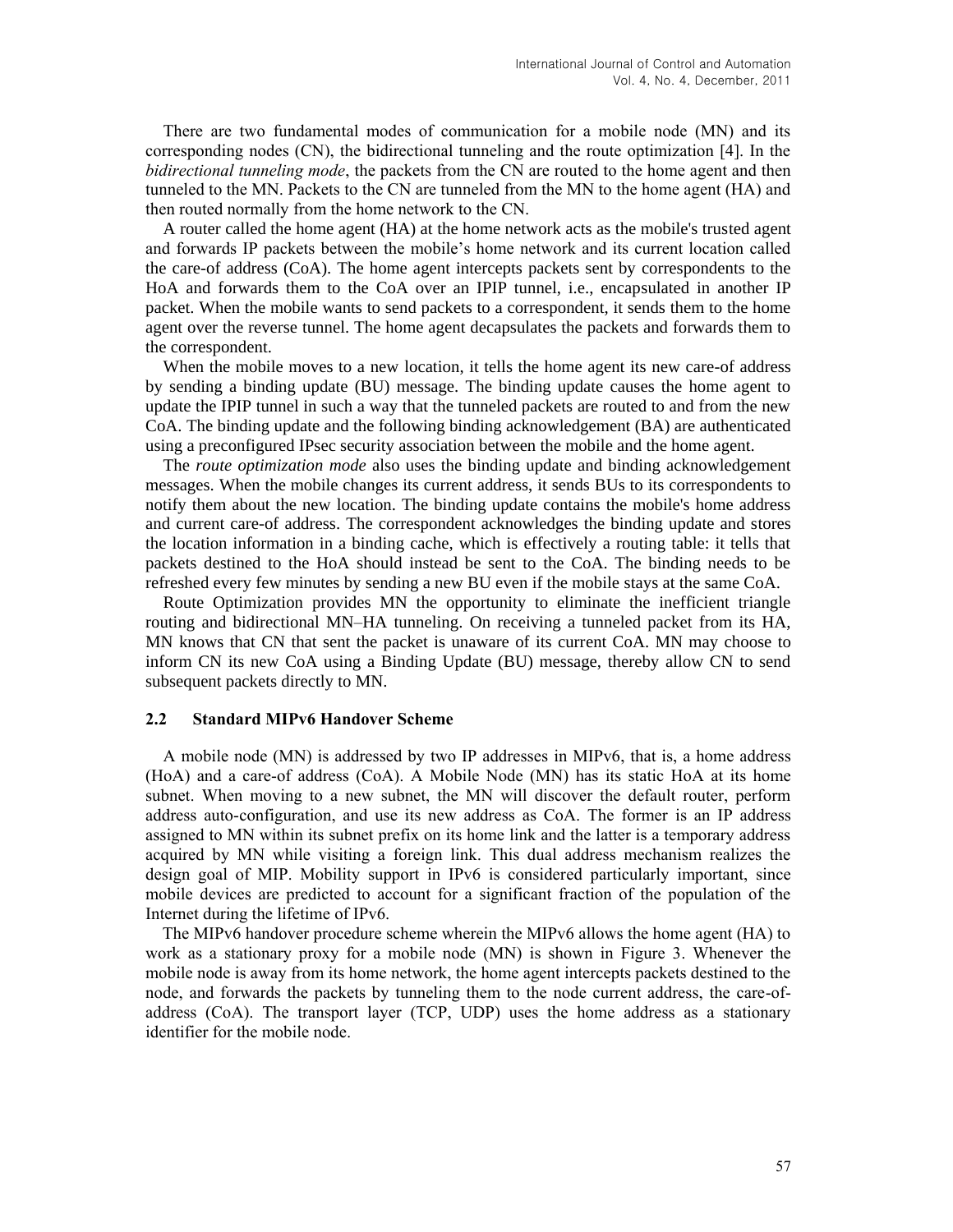There are two fundamental modes of communication for a mobile node (MN) and its corresponding nodes (CN), the bidirectional tunneling and the route optimization [4]. In the *bidirectional tunneling mode*, the packets from the CN are routed to the home agent and then tunneled to the MN. Packets to the CN are tunneled from the MN to the home agent (HA) and then routed normally from the home network to the CN.

A router called the home agent (HA) at the home network acts as the mobile's trusted agent and forwards IP packets between the mobile's home network and its current location called the care-of address (CoA). The home agent intercepts packets sent by correspondents to the HoA and forwards them to the CoA over an IPIP tunnel, i.e., encapsulated in another IP packet. When the mobile wants to send packets to a correspondent, it sends them to the home agent over the reverse tunnel. The home agent decapsulates the packets and forwards them to the correspondent.

When the mobile moves to a new location, it tells the home agent its new care-of address by sending a binding update (BU) message. The binding update causes the home agent to update the IPIP tunnel in such a way that the tunneled packets are routed to and from the new CoA. The binding update and the following binding acknowledgement (BA) are authenticated using a preconfigured IPsec security association between the mobile and the home agent.

The *route optimization mode* also uses the binding update and binding acknowledgement messages. When the mobile changes its current address, it sends BUs to its correspondents to notify them about the new location. The binding update contains the mobile's home address and current care-of address. The correspondent acknowledges the binding update and stores the location information in a binding cache, which is effectively a routing table: it tells that packets destined to the HoA should instead be sent to the CoA. The binding needs to be refreshed every few minutes by sending a new BU even if the mobile stays at the same CoA.

Route Optimization provides MN the opportunity to eliminate the inefficient triangle routing and bidirectional MN–HA tunneling. On receiving a tunneled packet from its HA, MN knows that CN that sent the packet is unaware of its current CoA. MN may choose to inform CN its new CoA using a Binding Update (BU) message, thereby allow CN to send subsequent packets directly to MN.

#### **2.2 Standard MIPv6 Handover Scheme**

A mobile node (MN) is addressed by two IP addresses in MIPv6, that is, a home address (HoA) and a care-of address (CoA). A Mobile Node (MN) has its static HoA at its home subnet. When moving to a new subnet, the MN will discover the default router, perform address auto-configuration, and use its new address as CoA. The former is an IP address assigned to MN within its subnet prefix on its home link and the latter is a temporary address acquired by MN while visiting a foreign link. This dual address mechanism realizes the design goal of MIP. Mobility support in IPv6 is considered particularly important, since mobile devices are predicted to account for a significant fraction of the population of the Internet during the lifetime of IPv6.

The MIPv6 handover procedure scheme wherein the MIPv6 allows the home agent (HA) to work as a stationary proxy for a mobile node (MN) is shown in Figure 3. Whenever the mobile node is away from its home network, the home agent intercepts packets destined to the node, and forwards the packets by tunneling them to the node current address, the care-ofaddress (CoA). The transport layer (TCP, UDP) uses the home address as a stationary identifier for the mobile node.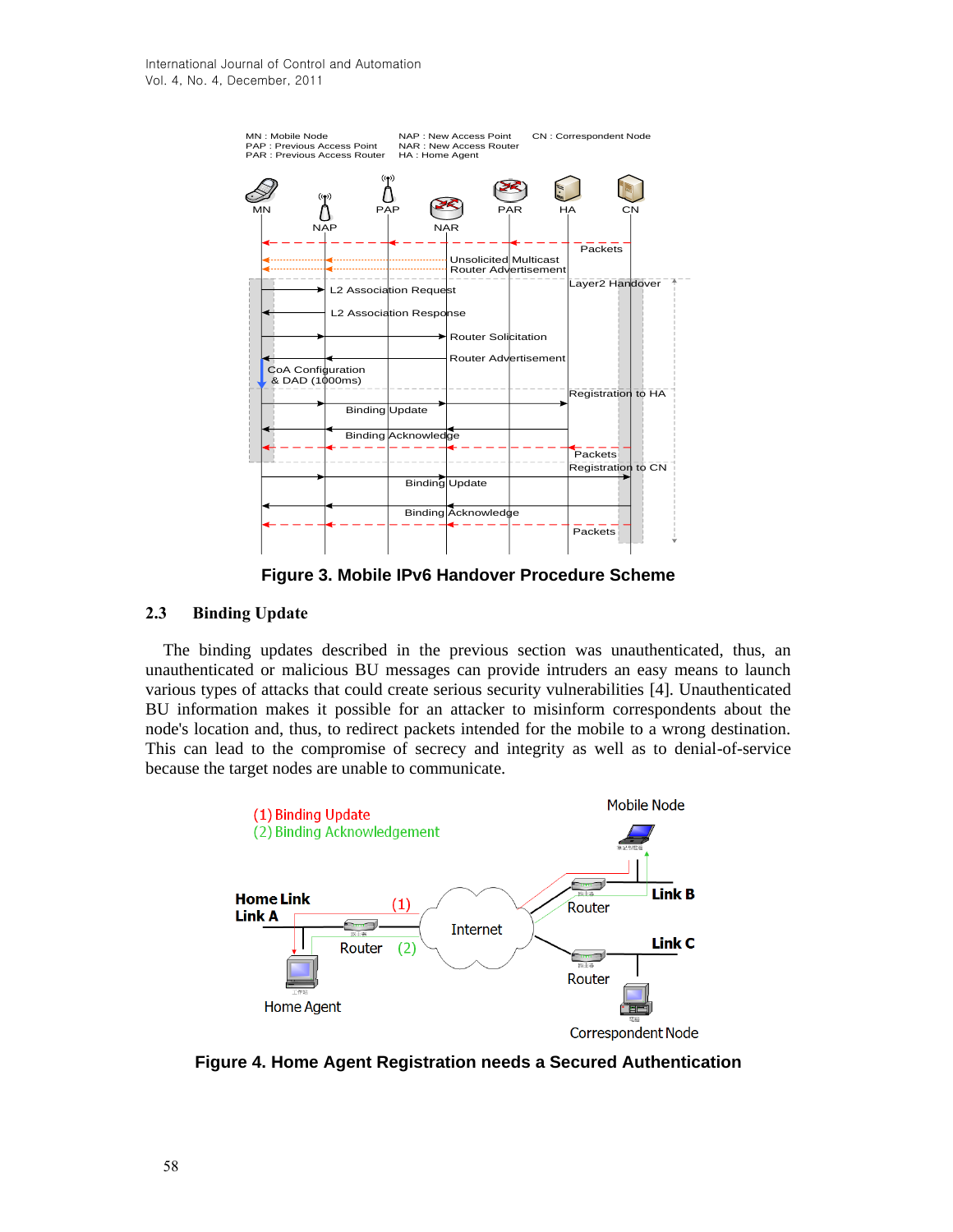

**Figure 3. Mobile IPv6 Handover Procedure Scheme**

## **2.3 Binding Update**

The binding updates described in the previous section was unauthenticated, thus, an unauthenticated or malicious BU messages can provide intruders an easy means to launch various types of attacks that could create serious security vulnerabilities [4]. Unauthenticated BU information makes it possible for an attacker to misinform correspondents about the node's location and, thus, to redirect packets intended for the mobile to a wrong destination. This can lead to the compromise of secrecy and integrity as well as to denial-of-service because the target nodes are unable to communicate.



**Figure 4. Home Agent Registration needs a Secured Authentication**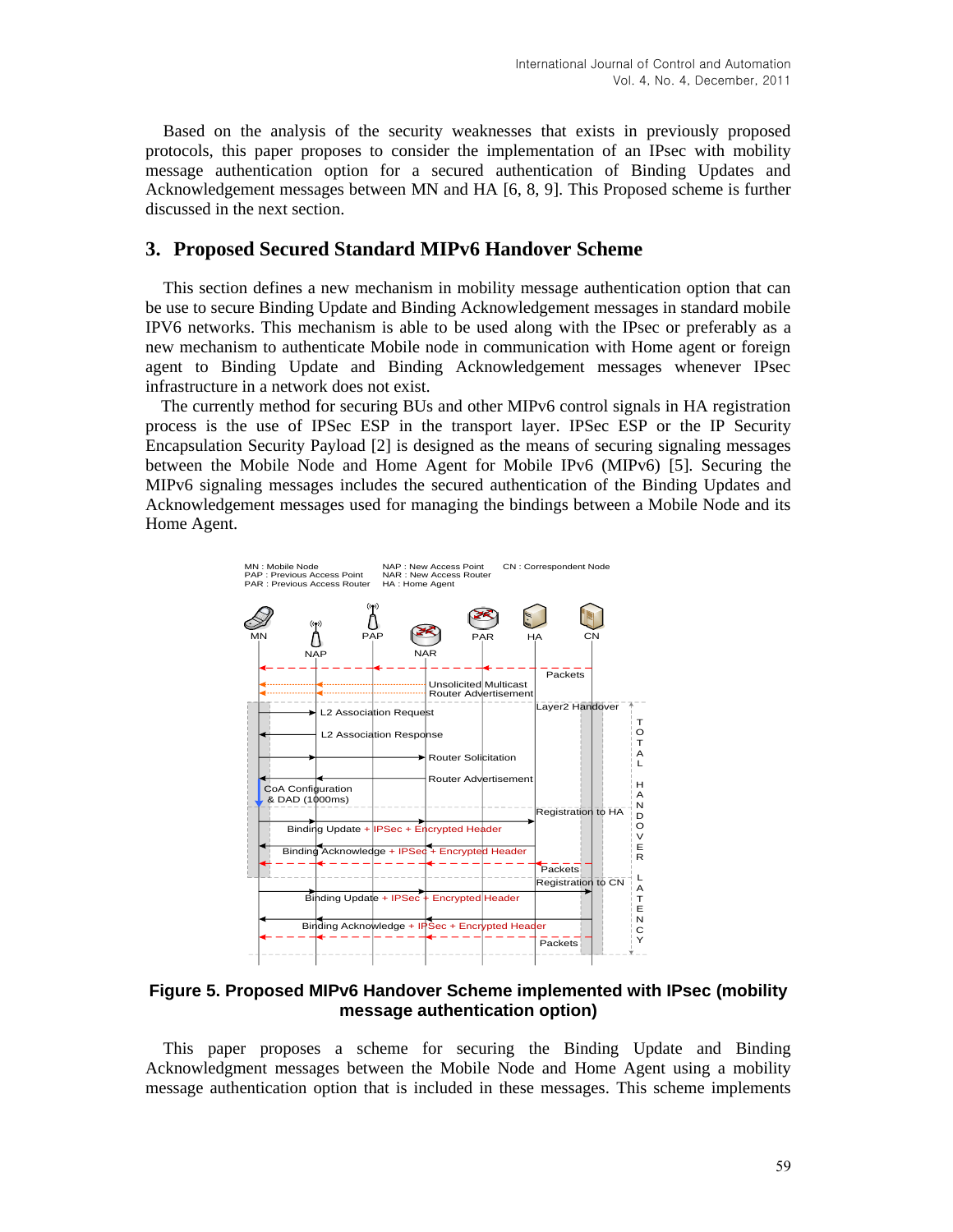Based on the analysis of the security weaknesses that exists in previously proposed protocols, this paper proposes to consider the implementation of an IPsec with mobility message authentication option for a secured authentication of Binding Updates and Acknowledgement messages between MN and HA [6, 8, 9]. This Proposed scheme is further discussed in the next section.

# **3. Proposed Secured Standard MIPv6 Handover Scheme**

This section defines a new mechanism in mobility message authentication option that can be use to secure Binding Update and Binding Acknowledgement messages in standard mobile IPV6 networks. This mechanism is able to be used along with the IPsec or preferably as a new mechanism to authenticate Mobile node in communication with Home agent or foreign agent to Binding Update and Binding Acknowledgement messages whenever IPsec infrastructure in a network does not exist.

The currently method for securing BUs and other MIPv6 control signals in HA registration process is the use of IPSec ESP in the transport layer. IPSec ESP or the IP Security Encapsulation Security Payload [2] is designed as the means of securing signaling messages between the Mobile Node and Home Agent for Mobile IPv6 (MIPv6) [5]. Securing the MIPv6 signaling messages includes the secured authentication of the Binding Updates and Acknowledgement messages used for managing the bindings between a Mobile Node and its Home Agent.



**Figure 5. Proposed MIPv6 Handover Scheme implemented with IPsec (mobility message authentication option)**

This paper proposes a scheme for securing the Binding Update and Binding Acknowledgment messages between the Mobile Node and Home Agent using a mobility message authentication option that is included in these messages. This scheme implements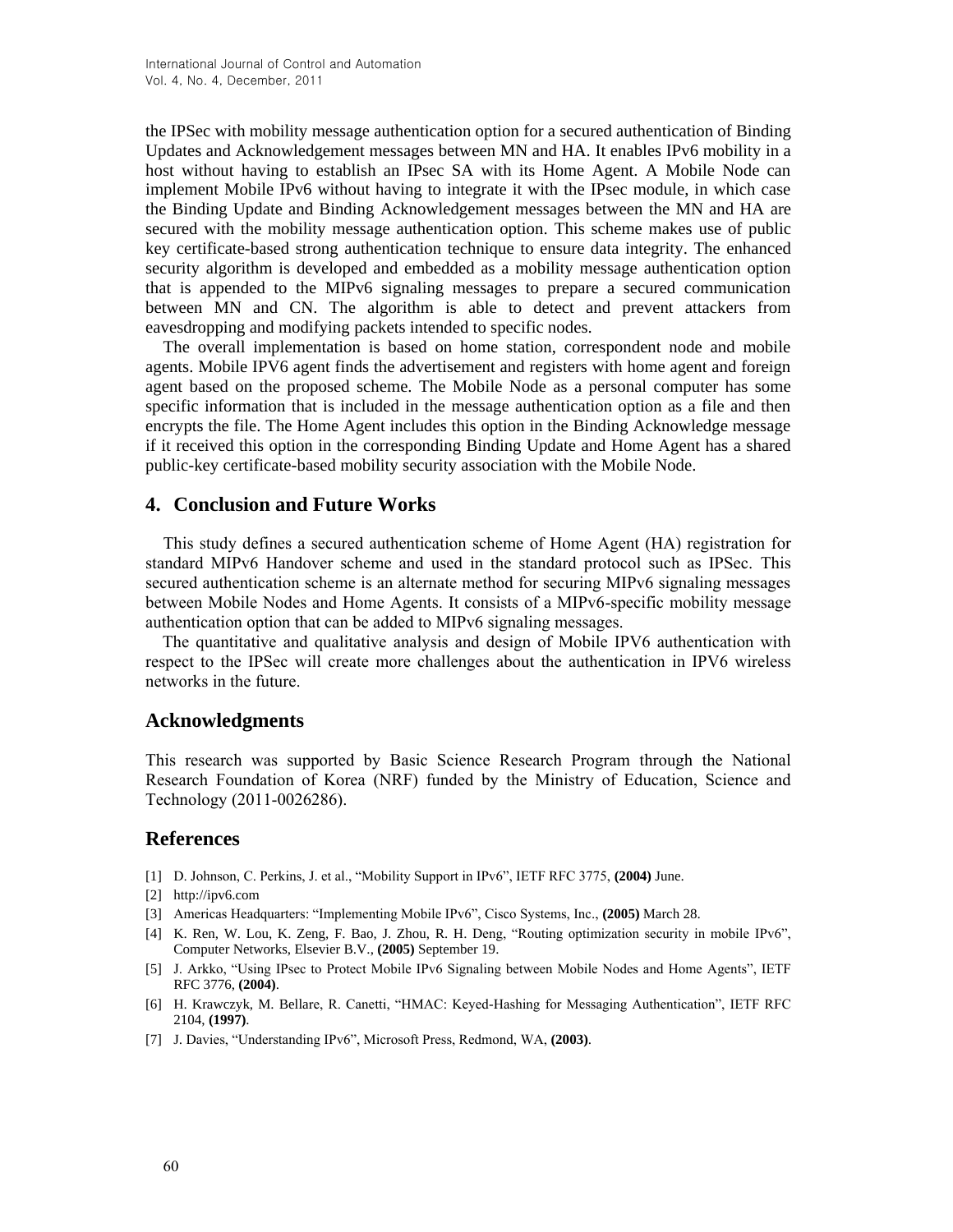the IPSec with mobility message authentication option for a secured authentication of Binding Updates and Acknowledgement messages between MN and HA. It enables IPv6 mobility in a host without having to establish an IPsec SA with its Home Agent. A Mobile Node can implement Mobile IPv6 without having to integrate it with the IPsec module, in which case the Binding Update and Binding Acknowledgement messages between the MN and HA are secured with the mobility message authentication option. This scheme makes use of public key certificate-based strong authentication technique to ensure data integrity. The enhanced security algorithm is developed and embedded as a mobility message authentication option that is appended to the MIPv6 signaling messages to prepare a secured communication between MN and CN. The algorithm is able to detect and prevent attackers from eavesdropping and modifying packets intended to specific nodes.

The overall implementation is based on home station, correspondent node and mobile agents. Mobile IPV6 agent finds the advertisement and registers with home agent and foreign agent based on the proposed scheme. The Mobile Node as a personal computer has some specific information that is included in the message authentication option as a file and then encrypts the file. The Home Agent includes this option in the Binding Acknowledge message if it received this option in the corresponding Binding Update and Home Agent has a shared public-key certificate-based mobility security association with the Mobile Node.

## **4. Conclusion and Future Works**

This study defines a secured authentication scheme of Home Agent (HA) registration for standard MIPv6 Handover scheme and used in the standard protocol such as IPSec. This secured authentication scheme is an alternate method for securing MIPv6 signaling messages between Mobile Nodes and Home Agents. It consists of a MIPv6-specific mobility message authentication option that can be added to MIPv6 signaling messages.

The quantitative and qualitative analysis and design of Mobile IPV6 authentication with respect to the IPSec will create more challenges about the authentication in IPV6 wireless networks in the future.

### **Acknowledgments**

This research was supported by Basic Science Research Program through the National Research Foundation of Korea (NRF) funded by the Ministry of Education, Science and Technology (2011-0026286).

### **References**

- [1] D. Johnson, C. Perkins, J. et al., "Mobility Support in IPv6", IETF RFC 3775, **(2004)** June.
- [2] http://ipv6.com
- [3] Americas Headquarters: "Implementing Mobile IPv6", Cisco Systems, Inc., **(2005)** March 28.
- [4] K. Ren, W. Lou, K. Zeng, F. Bao, J. Zhou, R. H. Deng, "Routing optimization security in mobile IPv6", Computer Networks, Elsevier B.V., **(2005)** September 19.
- [5] J. Arkko, "Using IPsec to Protect Mobile IPv6 Signaling between Mobile Nodes and Home Agents", IETF RFC 3776, **(2004)**.
- [6] H. Krawczyk, M. Bellare, R. Canetti, "HMAC: Keyed-Hashing for Messaging Authentication", IETF RFC 2104, **(1997)**.
- [7] J. Davies, "Understanding IPv6", Microsoft Press, Redmond, WA, **(2003)**.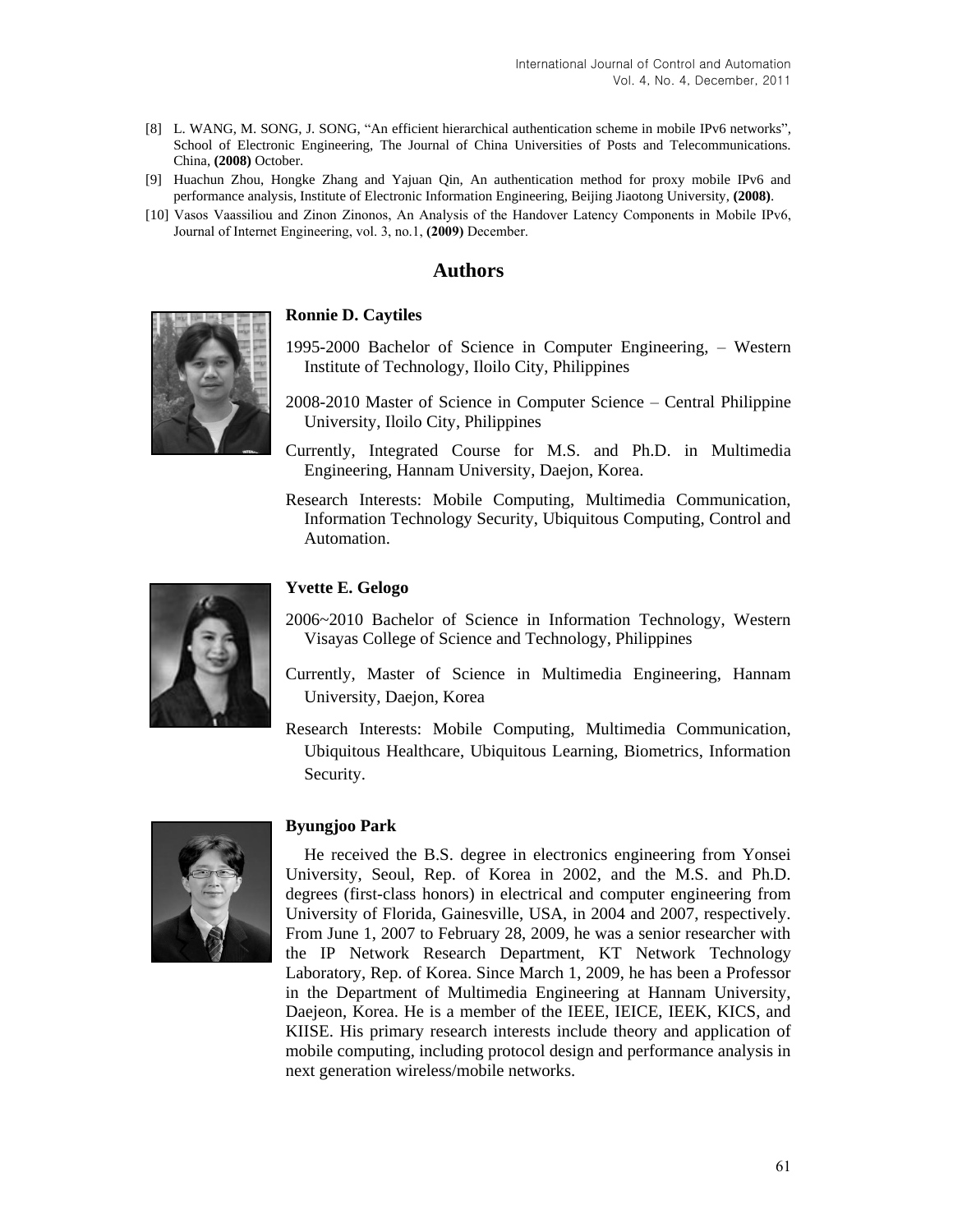- [8] L. WANG, M. SONG, J. SONG, "An efficient hierarchical authentication scheme in mobile IPv6 networks", School of Electronic Engineering, The Journal of China Universities of Posts and Telecommunications. China, **(2008)** October.
- [9] Huachun Zhou, Hongke Zhang and Yajuan Qin, An authentication method for proxy mobile IPv6 and performance analysis, Institute of Electronic Information Engineering, Beijing Jiaotong University, **(2008)**.
- [10] Vasos Vaassiliou and Zinon Zinonos, An Analysis of the Handover Latency Components in Mobile IPv6, Journal of Internet Engineering, vol. 3, no.1, **(2009)** December.

### **Authors**



#### **Ronnie D. Caytiles**

- 1995-2000 Bachelor of Science in Computer Engineering, Western Institute of Technology, Iloilo City, Philippines
- 2008-2010 Master of Science in Computer Science Central Philippine University, Iloilo City, Philippines
- Currently, Integrated Course for M.S. and Ph.D. in Multimedia Engineering, Hannam University, Daejon, Korea.
- Research Interests: Mobile Computing, Multimedia Communication, Information Technology Security, Ubiquitous Computing, Control and Automation.



#### **Yvette E. Gelogo**

- 2006~2010 Bachelor of Science in Information Technology, Western Visayas College of Science and Technology, Philippines
- Currently, Master of Science in Multimedia Engineering, Hannam University, Daejon, Korea
- Research Interests: Mobile Computing, Multimedia Communication, Ubiquitous Healthcare, Ubiquitous Learning, Biometrics, Information Security.



#### **Byungjoo Park**

He received the B.S. degree in electronics engineering from Yonsei University, Seoul, Rep. of Korea in 2002, and the M.S. and Ph.D. degrees (first-class honors) in electrical and computer engineering from University of Florida, Gainesville, USA, in 2004 and 2007, respectively. From June 1, 2007 to February 28, 2009, he was a senior researcher with the IP Network Research Department, KT Network Technology Laboratory, Rep. of Korea. Since March 1, 2009, he has been a Professor in the Department of Multimedia Engineering at Hannam University, Daejeon, Korea. He is a member of the IEEE, IEICE, IEEK, KICS, and KIISE. His primary research interests include theory and application of mobile computing, including protocol design and performance analysis in next generation wireless/mobile networks.